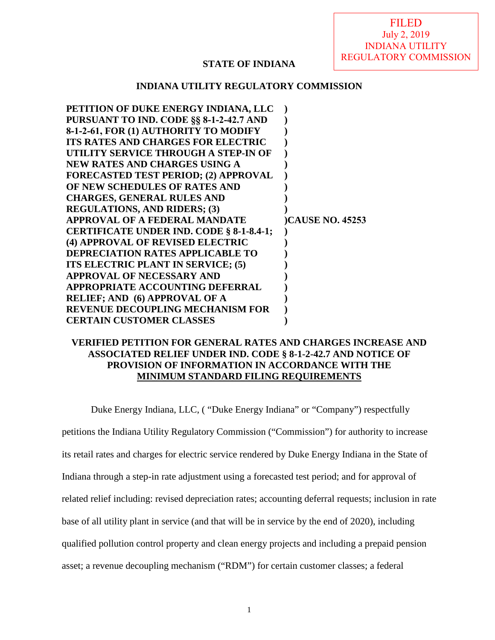FILED July 2, 2019 INDIANA UTILITY REGULATORY COMMISSION

## **STATE OF INDIANA**

### **INDIANA UTILITY REGULATORY COMMISSION**

| PETITION OF DUKE ENERGY INDIANA, LLC        |                        |
|---------------------------------------------|------------------------|
| PURSUANT TO IND. CODE §§ 8-1-2-42.7 AND     |                        |
| 8-1-2-61, FOR (1) AUTHORITY TO MODIFY       |                        |
| <b>ITS RATES AND CHARGES FOR ELECTRIC</b>   |                        |
| UTILITY SERVICE THROUGH A STEP-IN OF        |                        |
| <b>NEW RATES AND CHARGES USING A</b>        |                        |
| <b>FORECASTED TEST PERIOD; (2) APPROVAL</b> |                        |
| OF NEW SCHEDULES OF RATES AND               |                        |
| <b>CHARGES, GENERAL RULES AND</b>           |                        |
| <b>REGULATIONS, AND RIDERS; (3)</b>         |                        |
|                                             |                        |
| <b>APPROVAL OF A FEDERAL MANDATE</b>        | <b>CAUSE NO. 45253</b> |
| CERTIFICATE UNDER IND. CODE § 8-1-8.4-1;    |                        |
| (4) APPROVAL OF REVISED ELECTRIC            |                        |
| <b>DEPRECIATION RATES APPLICABLE TO</b>     |                        |
| ITS ELECTRIC PLANT IN SERVICE; (5)          |                        |
| <b>APPROVAL OF NECESSARY AND</b>            |                        |
| APPROPRIATE ACCOUNTING DEFERRAL             |                        |
| <b>RELIEF; AND (6) APPROVAL OF A</b>        |                        |
| <b>REVENUE DECOUPLING MECHANISM FOR</b>     |                        |

## **VERIFIED PETITION FOR GENERAL RATES AND CHARGES INCREASE AND ASSOCIATED RELIEF UNDER IND. CODE § 8-1-2-42.7 AND NOTICE OF PROVISION OF INFORMATION IN ACCORDANCE WITH THE MINIMUM STANDARD FILING REQUIREMENTS**

Duke Energy Indiana, LLC, ( "Duke Energy Indiana" or "Company") respectfully petitions the Indiana Utility Regulatory Commission ("Commission") for authority to increase its retail rates and charges for electric service rendered by Duke Energy Indiana in the State of Indiana through a step-in rate adjustment using a forecasted test period; and for approval of related relief including: revised depreciation rates; accounting deferral requests; inclusion in rate base of all utility plant in service (and that will be in service by the end of 2020), including qualified pollution control property and clean energy projects and including a prepaid pension asset; a revenue decoupling mechanism ("RDM") for certain customer classes; a federal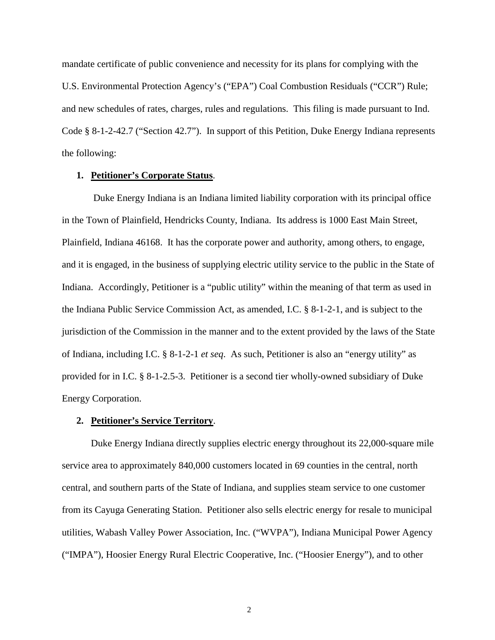mandate certificate of public convenience and necessity for its plans for complying with the U.S. Environmental Protection Agency's ("EPA") Coal Combustion Residuals ("CCR") Rule; and new schedules of rates, charges, rules and regulations. This filing is made pursuant to Ind. Code § 8-1-2-42.7 ("Section 42.7"). In support of this Petition, Duke Energy Indiana represents the following:

### **1. Petitioner's Corporate Status**.

Duke Energy Indiana is an Indiana limited liability corporation with its principal office in the Town of Plainfield, Hendricks County, Indiana. Its address is 1000 East Main Street, Plainfield, Indiana 46168. It has the corporate power and authority, among others, to engage, and it is engaged, in the business of supplying electric utility service to the public in the State of Indiana. Accordingly, Petitioner is a "public utility" within the meaning of that term as used in the Indiana Public Service Commission Act, as amended, I.C. § 8-1-2-1, and is subject to the jurisdiction of the Commission in the manner and to the extent provided by the laws of the State of Indiana, including I.C. § 8-1-2-1 *et seq*. As such, Petitioner is also an "energy utility" as provided for in I.C. § 8-1-2.5-3. Petitioner is a second tier wholly-owned subsidiary of Duke Energy Corporation.

### **2. Petitioner's Service Territory**.

Duke Energy Indiana directly supplies electric energy throughout its 22,000-square mile service area to approximately 840,000 customers located in 69 counties in the central, north central, and southern parts of the State of Indiana, and supplies steam service to one customer from its Cayuga Generating Station. Petitioner also sells electric energy for resale to municipal utilities, Wabash Valley Power Association, Inc. ("WVPA"), Indiana Municipal Power Agency ("IMPA"), Hoosier Energy Rural Electric Cooperative, Inc. ("Hoosier Energy"), and to other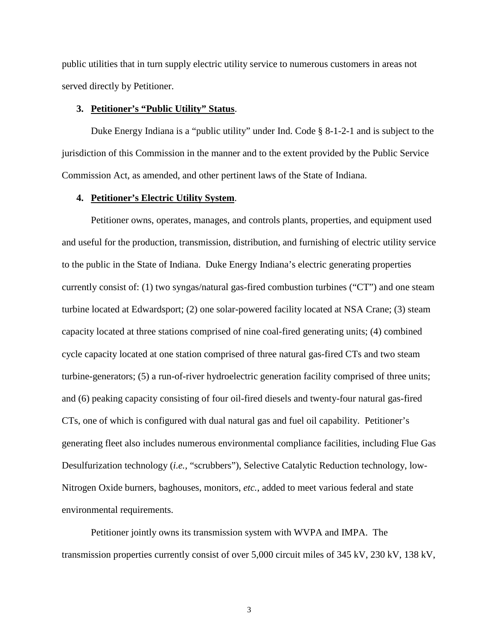public utilities that in turn supply electric utility service to numerous customers in areas not served directly by Petitioner.

## **3. Petitioner's "Public Utility" Status**.

Duke Energy Indiana is a "public utility" under Ind. Code § 8-1-2-1 and is subject to the jurisdiction of this Commission in the manner and to the extent provided by the Public Service Commission Act, as amended, and other pertinent laws of the State of Indiana.

### **4. Petitioner's Electric Utility System**.

Petitioner owns, operates, manages, and controls plants, properties, and equipment used and useful for the production, transmission, distribution, and furnishing of electric utility service to the public in the State of Indiana. Duke Energy Indiana's electric generating properties currently consist of: (1) two syngas/natural gas-fired combustion turbines ("CT") and one steam turbine located at Edwardsport; (2) one solar-powered facility located at NSA Crane; (3) steam capacity located at three stations comprised of nine coal-fired generating units; (4) combined cycle capacity located at one station comprised of three natural gas-fired CTs and two steam turbine-generators; (5) a run-of-river hydroelectric generation facility comprised of three units; and (6) peaking capacity consisting of four oil-fired diesels and twenty-four natural gas-fired CTs, one of which is configured with dual natural gas and fuel oil capability. Petitioner's generating fleet also includes numerous environmental compliance facilities, including Flue Gas Desulfurization technology (*i.e.,* "scrubbers"), Selective Catalytic Reduction technology, low-Nitrogen Oxide burners, baghouses, monitors, *etc.*, added to meet various federal and state environmental requirements.

Petitioner jointly owns its transmission system with WVPA and IMPA. The transmission properties currently consist of over 5,000 circuit miles of 345 kV, 230 kV, 138 kV,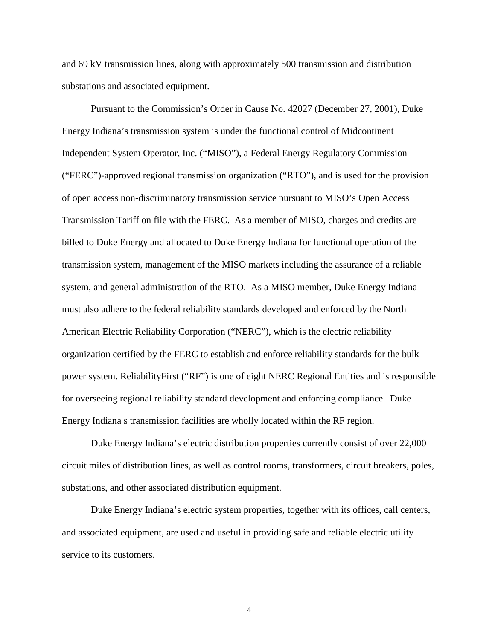and 69 kV transmission lines, along with approximately 500 transmission and distribution substations and associated equipment.

Pursuant to the Commission's Order in Cause No. 42027 (December 27, 2001), Duke Energy Indiana's transmission system is under the functional control of Midcontinent Independent System Operator, Inc. ("MISO"), a Federal Energy Regulatory Commission ("FERC")-approved regional transmission organization ("RTO"), and is used for the provision of open access non-discriminatory transmission service pursuant to MISO's Open Access Transmission Tariff on file with the FERC. As a member of MISO, charges and credits are billed to Duke Energy and allocated to Duke Energy Indiana for functional operation of the transmission system, management of the MISO markets including the assurance of a reliable system, and general administration of the RTO. As a MISO member, Duke Energy Indiana must also adhere to the federal reliability standards developed and enforced by the North American Electric Reliability Corporation ("NERC"), which is the electric reliability organization certified by the FERC to establish and enforce reliability standards for the bulk power system. ReliabilityFirst ("RF") is one of eight NERC Regional Entities and is responsible for overseeing regional reliability standard development and enforcing compliance. Duke Energy Indiana s transmission facilities are wholly located within the RF region.

Duke Energy Indiana's electric distribution properties currently consist of over 22,000 circuit miles of distribution lines, as well as control rooms, transformers, circuit breakers, poles, substations, and other associated distribution equipment.

Duke Energy Indiana's electric system properties, together with its offices, call centers, and associated equipment, are used and useful in providing safe and reliable electric utility service to its customers.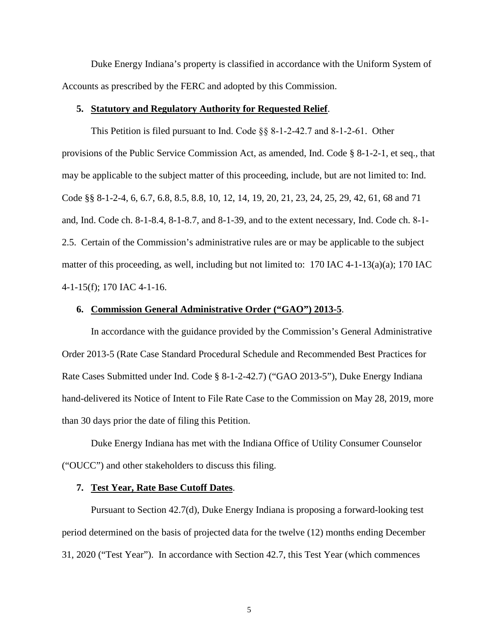Duke Energy Indiana's property is classified in accordance with the Uniform System of Accounts as prescribed by the FERC and adopted by this Commission.

#### **5. Statutory and Regulatory Authority for Requested Relief**.

This Petition is filed pursuant to Ind. Code §§ 8‐1‐2‐42.7 and 8‐1‐2‐61. Other provisions of the Public Service Commission Act, as amended, Ind. Code § 8-1-2-1, et seq., that may be applicable to the subject matter of this proceeding, include, but are not limited to: Ind. Code §§ 8-1-2-4, 6, 6.7, 6.8, 8.5, 8.8, 10, 12, 14, 19, 20, 21, 23, 24, 25, 29, 42, 61, 68 and 71 and, Ind. Code ch. 8-1-8.4, 8-1-8.7, and 8-1-39, and to the extent necessary, Ind. Code ch. 8‐1‐ 2.5. Certain of the Commission's administrative rules are or may be applicable to the subject matter of this proceeding, as well, including but not limited to:  $170$  IAC  $4-1-13(a)(a)$ ; 170 IAC 4-1-15(f); 170 IAC 4-1-16.

### **6. Commission General Administrative Order ("GAO") 2013-5**.

In accordance with the guidance provided by the Commission's General Administrative Order 2013-5 (Rate Case Standard Procedural Schedule and Recommended Best Practices for Rate Cases Submitted under Ind. Code § 8-1-2-42.7) ("GAO 2013-5"), Duke Energy Indiana hand-delivered its Notice of Intent to File Rate Case to the Commission on May 28, 2019, more than 30 days prior the date of filing this Petition.

Duke Energy Indiana has met with the Indiana Office of Utility Consumer Counselor ("OUCC") and other stakeholders to discuss this filing.

#### **7. Test Year, Rate Base Cutoff Dates**.

Pursuant to Section 42.7(d), Duke Energy Indiana is proposing a forward-looking test period determined on the basis of projected data for the twelve (12) months ending December 31, 2020 ("Test Year"). In accordance with Section 42.7, this Test Year (which commences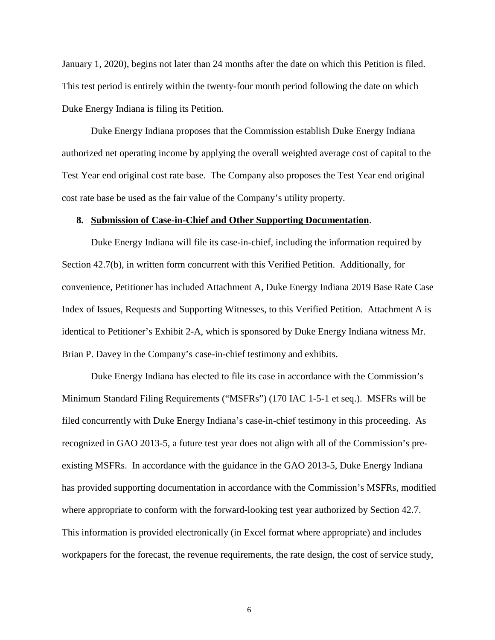January 1, 2020), begins not later than 24 months after the date on which this Petition is filed. This test period is entirely within the twenty-four month period following the date on which Duke Energy Indiana is filing its Petition.

Duke Energy Indiana proposes that the Commission establish Duke Energy Indiana authorized net operating income by applying the overall weighted average cost of capital to the Test Year end original cost rate base. The Company also proposes the Test Year end original cost rate base be used as the fair value of the Company's utility property.

### **8. Submission of Case-in-Chief and Other Supporting Documentation**.

Duke Energy Indiana will file its case-in-chief, including the information required by Section 42.7(b), in written form concurrent with this Verified Petition. Additionally, for convenience, Petitioner has included Attachment A, Duke Energy Indiana 2019 Base Rate Case Index of Issues, Requests and Supporting Witnesses, to this Verified Petition. Attachment A is identical to Petitioner's Exhibit 2-A, which is sponsored by Duke Energy Indiana witness Mr. Brian P. Davey in the Company's case-in-chief testimony and exhibits.

Duke Energy Indiana has elected to file its case in accordance with the Commission's Minimum Standard Filing Requirements ("MSFRs") (170 IAC 1-5-1 et seq.). MSFRs will be filed concurrently with Duke Energy Indiana's case-in-chief testimony in this proceeding. As recognized in GAO 2013-5, a future test year does not align with all of the Commission's preexisting MSFRs. In accordance with the guidance in the GAO 2013-5, Duke Energy Indiana has provided supporting documentation in accordance with the Commission's MSFRs, modified where appropriate to conform with the forward-looking test year authorized by Section 42.7. This information is provided electronically (in Excel format where appropriate) and includes workpapers for the forecast, the revenue requirements, the rate design, the cost of service study,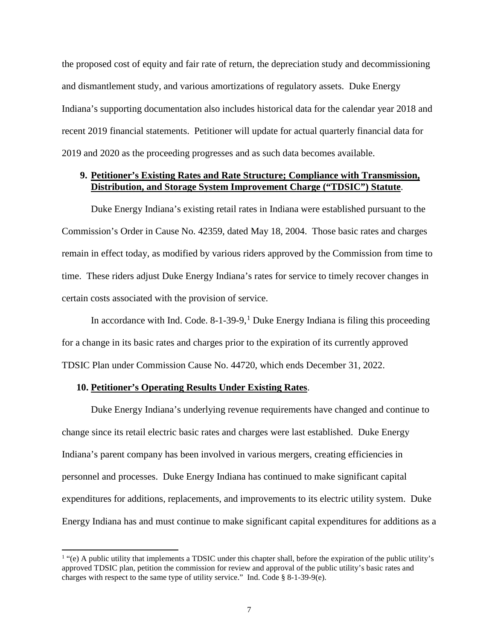the proposed cost of equity and fair rate of return, the depreciation study and decommissioning and dismantlement study, and various amortizations of regulatory assets. Duke Energy Indiana's supporting documentation also includes historical data for the calendar year 2018 and recent 2019 financial statements. Petitioner will update for actual quarterly financial data for 2019 and 2020 as the proceeding progresses and as such data becomes available.

## **9. Petitioner's Existing Rates and Rate Structure; Compliance with Transmission, Distribution, and Storage System Improvement Charge ("TDSIC") Statute**.

Duke Energy Indiana's existing retail rates in Indiana were established pursuant to the Commission's Order in Cause No. 42359, dated May 18, 2004. Those basic rates and charges remain in effect today, as modified by various riders approved by the Commission from time to time. These riders adjust Duke Energy Indiana's rates for service to timely recover changes in certain costs associated with the provision of service.

In accordance with Ind. Code.  $8-1-39-9$  $8-1-39-9$  $8-1-39-9$ ,  $\frac{1}{1}$  Duke Energy Indiana is filing this proceeding for a change in its basic rates and charges prior to the expiration of its currently approved TDSIC Plan under Commission Cause No. 44720, which ends December 31, 2022.

### **10. Petitioner's Operating Results Under Existing Rates**.

 $\overline{a}$ 

Duke Energy Indiana's underlying revenue requirements have changed and continue to change since its retail electric basic rates and charges were last established. Duke Energy Indiana's parent company has been involved in various mergers, creating efficiencies in personnel and processes. Duke Energy Indiana has continued to make significant capital expenditures for additions, replacements, and improvements to its electric utility system. Duke Energy Indiana has and must continue to make significant capital expenditures for additions as a

<span id="page-6-0"></span> $<sup>1</sup>$  "(e) A public utility that implements a TDSIC under this chapter shall, before the expiration of the public utility's</sup> approved TDSIC plan, petition the commission for review and approval of the public utility's basic rates and charges with respect to the same type of utility service." Ind. Code § 8-1-39-9(e).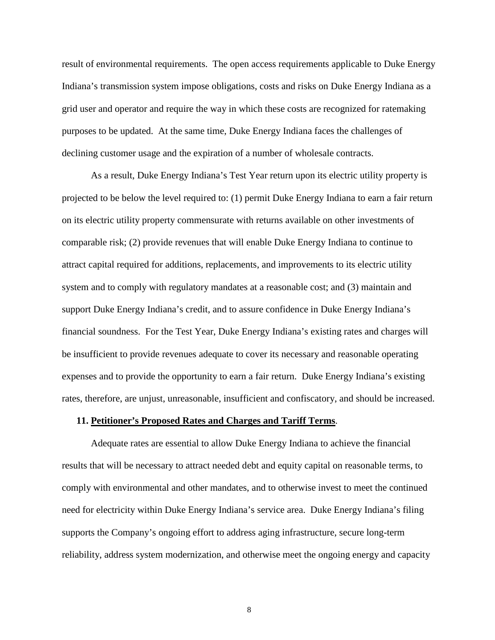result of environmental requirements. The open access requirements applicable to Duke Energy Indiana's transmission system impose obligations, costs and risks on Duke Energy Indiana as a grid user and operator and require the way in which these costs are recognized for ratemaking purposes to be updated. At the same time, Duke Energy Indiana faces the challenges of declining customer usage and the expiration of a number of wholesale contracts.

As a result, Duke Energy Indiana's Test Year return upon its electric utility property is projected to be below the level required to: (1) permit Duke Energy Indiana to earn a fair return on its electric utility property commensurate with returns available on other investments of comparable risk; (2) provide revenues that will enable Duke Energy Indiana to continue to attract capital required for additions, replacements, and improvements to its electric utility system and to comply with regulatory mandates at a reasonable cost; and (3) maintain and support Duke Energy Indiana's credit, and to assure confidence in Duke Energy Indiana's financial soundness. For the Test Year, Duke Energy Indiana's existing rates and charges will be insufficient to provide revenues adequate to cover its necessary and reasonable operating expenses and to provide the opportunity to earn a fair return. Duke Energy Indiana's existing rates, therefore, are unjust, unreasonable, insufficient and confiscatory, and should be increased.

### **11. Petitioner's Proposed Rates and Charges and Tariff Terms**.

Adequate rates are essential to allow Duke Energy Indiana to achieve the financial results that will be necessary to attract needed debt and equity capital on reasonable terms, to comply with environmental and other mandates, and to otherwise invest to meet the continued need for electricity within Duke Energy Indiana's service area. Duke Energy Indiana's filing supports the Company's ongoing effort to address aging infrastructure, secure long-term reliability, address system modernization, and otherwise meet the ongoing energy and capacity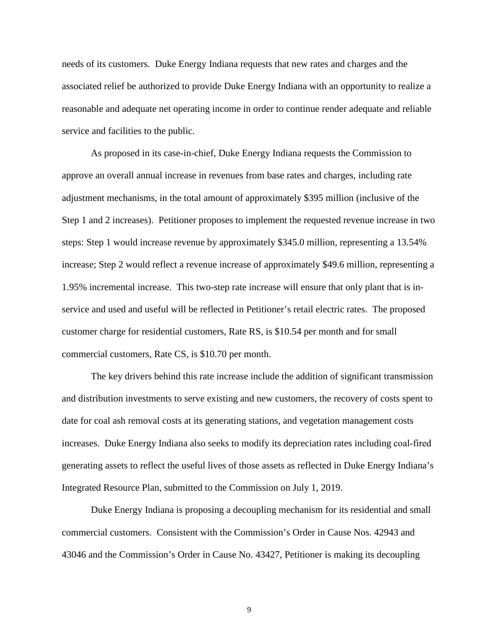needs of its customers. Duke Energy Indiana requests that new rates and charges and the associated relief be authorized to provide Duke Energy Indiana with an opportunity to realize a reasonable and adequate net operating income in order to continue render adequate and reliable service and facilities to the public.

As proposed in its case-in-chief, Duke Energy Indiana requests the Commission to approve an overall annual increase in revenues from base rates and charges, including rate adjustment mechanisms, in the total amount of approximately \$395 million (inclusive of the Step 1 and 2 increases). Petitioner proposes to implement the requested revenue increase in two steps: Step 1 would increase revenue by approximately \$345.0 million, representing a 13.54% increase; Step 2 would reflect a revenue increase of approximately \$49.6 million, representing a 1.95% incremental increase. This two-step rate increase will ensure that only plant that is inservice and used and useful will be reflected in Petitioner's retail electric rates. The proposed customer charge for residential customers, Rate RS, is \$10.54 per month and for small commercial customers, Rate CS, is \$10.70 per month.

The key drivers behind this rate increase include the addition of significant transmission and distribution investments to serve existing and new customers, the recovery of costs spent to date for coal ash removal costs at its generating stations, and vegetation management costs increases. Duke Energy Indiana also seeks to modify its depreciation rates including coal‐fired generating assets to reflect the useful lives of those assets as reflected in Duke Energy Indiana's Integrated Resource Plan, submitted to the Commission on July 1, 2019.

Duke Energy Indiana is proposing a decoupling mechanism for its residential and small commercial customers. Consistent with the Commission's Order in Cause Nos. 42943 and 43046 and the Commission's Order in Cause No. 43427, Petitioner is making its decoupling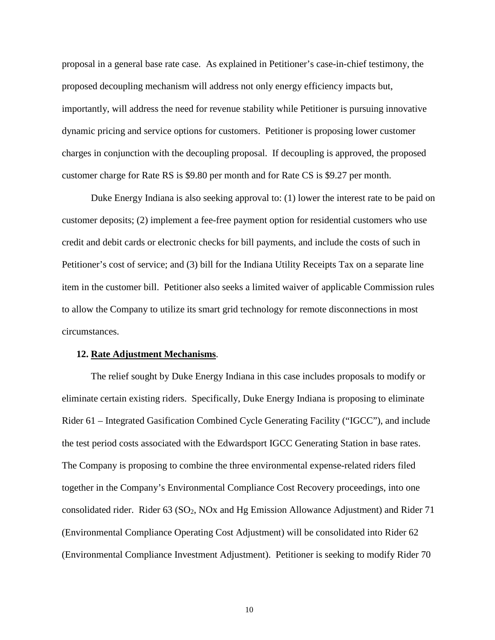proposal in a general base rate case. As explained in Petitioner's case-in-chief testimony, the proposed decoupling mechanism will address not only energy efficiency impacts but, importantly, will address the need for revenue stability while Petitioner is pursuing innovative dynamic pricing and service options for customers. Petitioner is proposing lower customer charges in conjunction with the decoupling proposal. If decoupling is approved, the proposed customer charge for Rate RS is \$9.80 per month and for Rate CS is \$9.27 per month.

Duke Energy Indiana is also seeking approval to: (1) lower the interest rate to be paid on customer deposits; (2) implement a fee-free payment option for residential customers who use credit and debit cards or electronic checks for bill payments, and include the costs of such in Petitioner's cost of service; and (3) bill for the Indiana Utility Receipts Tax on a separate line item in the customer bill. Petitioner also seeks a limited waiver of applicable Commission rules to allow the Company to utilize its smart grid technology for remote disconnections in most circumstances.

#### **12. Rate Adjustment Mechanisms**.

The relief sought by Duke Energy Indiana in this case includes proposals to modify or eliminate certain existing riders. Specifically, Duke Energy Indiana is proposing to eliminate Rider 61 – Integrated Gasification Combined Cycle Generating Facility ("IGCC"), and include the test period costs associated with the Edwardsport IGCC Generating Station in base rates. The Company is proposing to combine the three environmental expense-related riders filed together in the Company's Environmental Compliance Cost Recovery proceedings, into one consolidated rider. Rider 63 (SO2, NOx and Hg Emission Allowance Adjustment) and Rider 71 (Environmental Compliance Operating Cost Adjustment) will be consolidated into Rider 62 (Environmental Compliance Investment Adjustment). Petitioner is seeking to modify Rider 70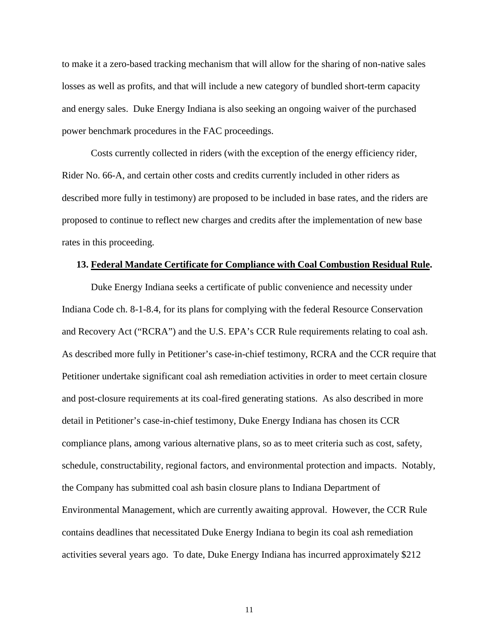to make it a zero-based tracking mechanism that will allow for the sharing of non-native sales losses as well as profits, and that will include a new category of bundled short-term capacity and energy sales. Duke Energy Indiana is also seeking an ongoing waiver of the purchased power benchmark procedures in the FAC proceedings.

Costs currently collected in riders (with the exception of the energy efficiency rider, Rider No. 66-A, and certain other costs and credits currently included in other riders as described more fully in testimony) are proposed to be included in base rates, and the riders are proposed to continue to reflect new charges and credits after the implementation of new base rates in this proceeding.

#### **13. Federal Mandate Certificate for Compliance with Coal Combustion Residual Rule.**

Duke Energy Indiana seeks a certificate of public convenience and necessity under Indiana Code ch. 8-1-8.4, for its plans for complying with the federal Resource Conservation and Recovery Act ("RCRA") and the U.S. EPA's CCR Rule requirements relating to coal ash. As described more fully in Petitioner's case-in-chief testimony, RCRA and the CCR require that Petitioner undertake significant coal ash remediation activities in order to meet certain closure and post-closure requirements at its coal-fired generating stations. As also described in more detail in Petitioner's case-in-chief testimony, Duke Energy Indiana has chosen its CCR compliance plans, among various alternative plans, so as to meet criteria such as cost, safety, schedule, constructability, regional factors, and environmental protection and impacts. Notably, the Company has submitted coal ash basin closure plans to Indiana Department of Environmental Management, which are currently awaiting approval. However, the CCR Rule contains deadlines that necessitated Duke Energy Indiana to begin its coal ash remediation activities several years ago. To date, Duke Energy Indiana has incurred approximately \$212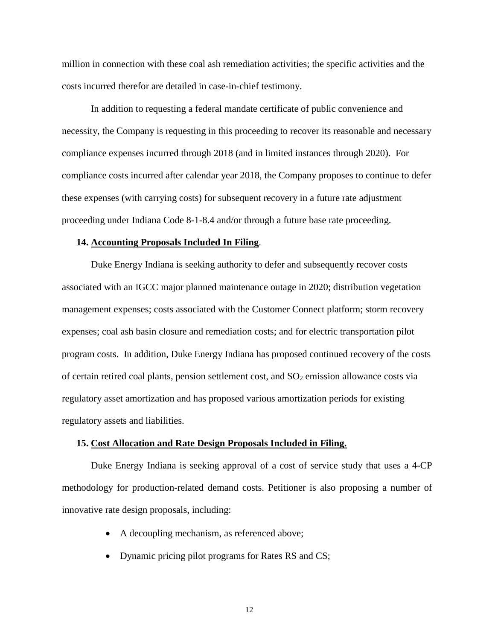million in connection with these coal ash remediation activities; the specific activities and the costs incurred therefor are detailed in case-in-chief testimony.

In addition to requesting a federal mandate certificate of public convenience and necessity, the Company is requesting in this proceeding to recover its reasonable and necessary compliance expenses incurred through 2018 (and in limited instances through 2020). For compliance costs incurred after calendar year 2018, the Company proposes to continue to defer these expenses (with carrying costs) for subsequent recovery in a future rate adjustment proceeding under Indiana Code 8-1-8.4 and/or through a future base rate proceeding.

#### **14. Accounting Proposals Included In Filing**.

Duke Energy Indiana is seeking authority to defer and subsequently recover costs associated with an IGCC major planned maintenance outage in 2020; distribution vegetation management expenses; costs associated with the Customer Connect platform; storm recovery expenses; coal ash basin closure and remediation costs; and for electric transportation pilot program costs. In addition, Duke Energy Indiana has proposed continued recovery of the costs of certain retired coal plants, pension settlement cost, and  $SO<sub>2</sub>$  emission allowance costs via regulatory asset amortization and has proposed various amortization periods for existing regulatory assets and liabilities.

#### **15. Cost Allocation and Rate Design Proposals Included in Filing.**

Duke Energy Indiana is seeking approval of a cost of service study that uses a 4-CP methodology for production-related demand costs. Petitioner is also proposing a number of innovative rate design proposals, including:

- A decoupling mechanism, as referenced above;
- Dynamic pricing pilot programs for Rates RS and CS;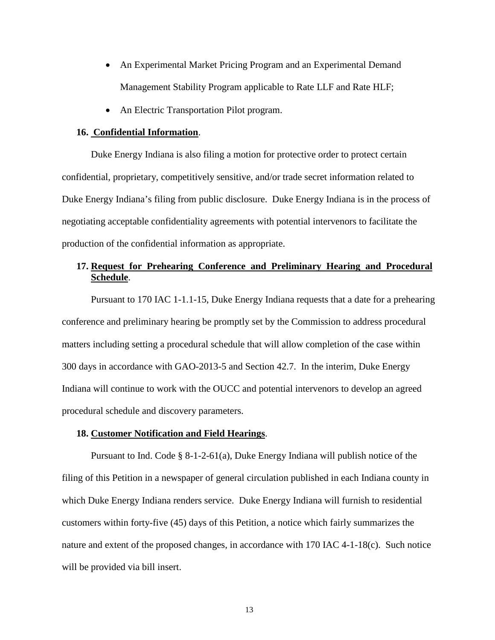- An Experimental Market Pricing Program and an Experimental Demand Management Stability Program applicable to Rate LLF and Rate HLF;
- An Electric Transportation Pilot program.

### **16. Confidential Information**.

Duke Energy Indiana is also filing a motion for protective order to protect certain confidential, proprietary, competitively sensitive, and/or trade secret information related to Duke Energy Indiana's filing from public disclosure. Duke Energy Indiana is in the process of negotiating acceptable confidentiality agreements with potential intervenors to facilitate the production of the confidential information as appropriate.

## **17. Request for Prehearing Conference and Preliminary Hearing and Procedural Schedule**.

Pursuant to 170 IAC 1-1.1-15, Duke Energy Indiana requests that a date for a prehearing conference and preliminary hearing be promptly set by the Commission to address procedural matters including setting a procedural schedule that will allow completion of the case within 300 days in accordance with GAO-2013-5 and Section 42.7. In the interim, Duke Energy Indiana will continue to work with the OUCC and potential intervenors to develop an agreed procedural schedule and discovery parameters.

#### **18. Customer Notification and Field Hearings**.

Pursuant to Ind. Code  $\S 8-1-2-61(a)$ , Duke Energy Indiana will publish notice of the filing of this Petition in a newspaper of general circulation published in each Indiana county in which Duke Energy Indiana renders service. Duke Energy Indiana will furnish to residential customers within forty-five (45) days of this Petition, a notice which fairly summarizes the nature and extent of the proposed changes, in accordance with 170 IAC 4-1-18(c). Such notice will be provided via bill insert.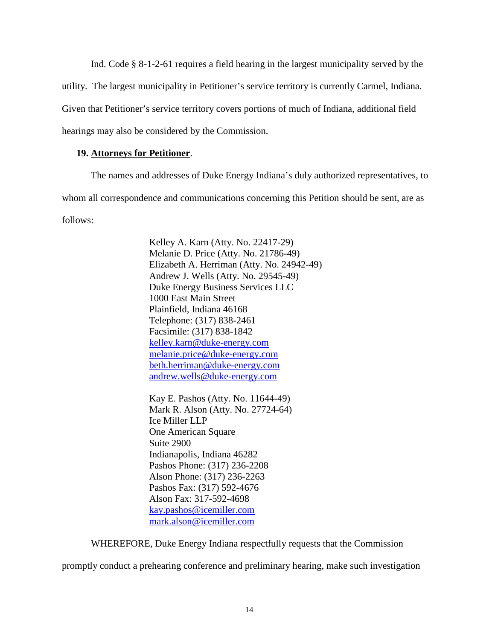Ind. Code § 8-1-2-61 requires a field hearing in the largest municipality served by the utility. The largest municipality in Petitioner's service territory is currently Carmel, Indiana. Given that Petitioner's service territory covers portions of much of Indiana, additional field hearings may also be considered by the Commission.

### **19. Attorneys for Petitioner**.

The names and addresses of Duke Energy Indiana's duly authorized representatives, to whom all correspondence and communications concerning this Petition should be sent, are as follows:

> Kelley A. Karn (Atty. No. 22417-29) Melanie D. Price (Atty. No. 21786-49) Elizabeth A. Herriman (Atty. No. 24942-49) Andrew J. Wells (Atty. No. 29545-49) Duke Energy Business Services LLC 1000 East Main Street Plainfield, Indiana 46168 Telephone: (317) 838-2461 Facsimile: (317) 838-1842 [kelley.karn@duke-energy.com](mailto:kelley.karn@duke-energy.com) [melanie.price@duke-energy.com](mailto:melanie.price@duke-energy.com) beth.herriman@duke-energy.com [andrew.wells@duke-energy.com](mailto:andrew.wells@duke-energy.com)

Kay E. Pashos (Atty. No. 11644-49) Mark R. Alson (Atty. No. 27724-64) Ice Miller LLP One American Square Suite 2900 Indianapolis, Indiana 46282 Pashos Phone: (317) 236-2208 Alson Phone: (317) 236-2263 Pashos Fax: (317) 592-4676 Alson Fax: 317-592-4698 [kay.pashos@icemiller.com](mailto:kay.pashos@icemiller.com) [mark.alson@icemiller.com](mailto:mark.alson@icemiller.com)

WHEREFORE, Duke Energy Indiana respectfully requests that the Commission

promptly conduct a prehearing conference and preliminary hearing, make such investigation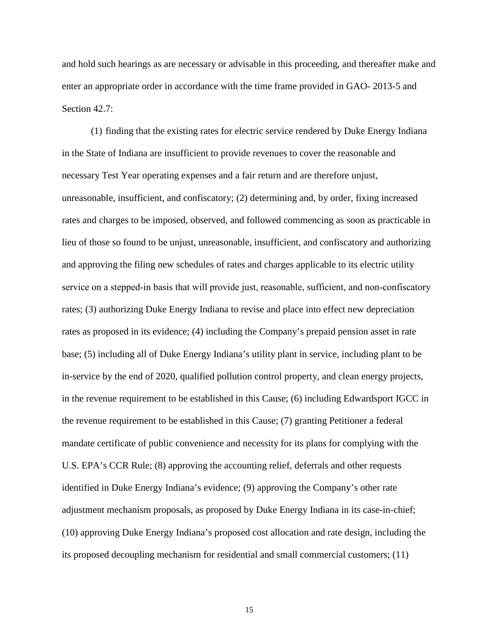and hold such hearings as are necessary or advisable in this proceeding, and thereafter make and enter an appropriate order in accordance with the time frame provided in GAO- 2013-5 and Section 42.7:

(1) finding that the existing rates for electric service rendered by Duke Energy Indiana in the State of Indiana are insufficient to provide revenues to cover the reasonable and necessary Test Year operating expenses and a fair return and are therefore unjust, unreasonable, insufficient, and confiscatory; (2) determining and, by order, fixing increased rates and charges to be imposed, observed, and followed commencing as soon as practicable in lieu of those so found to be unjust, unreasonable, insufficient, and confiscatory and authorizing and approving the filing new schedules of rates and charges applicable to its electric utility service on a stepped-in basis that will provide just, reasonable, sufficient, and non-confiscatory rates; (3) authorizing Duke Energy Indiana to revise and place into effect new depreciation rates as proposed in its evidence; (4) including the Company's prepaid pension asset in rate base; (5) including all of Duke Energy Indiana's utility plant in service, including plant to be in-service by the end of 2020, qualified pollution control property, and clean energy projects, in the revenue requirement to be established in this Cause; (6) including Edwardsport IGCC in the revenue requirement to be established in this Cause; (7) granting Petitioner a federal mandate certificate of public convenience and necessity for its plans for complying with the U.S. EPA's CCR Rule; (8) approving the accounting relief, deferrals and other requests identified in Duke Energy Indiana's evidence; (9) approving the Company's other rate adjustment mechanism proposals, as proposed by Duke Energy Indiana in its case-in-chief; (10) approving Duke Energy Indiana's proposed cost allocation and rate design, including the its proposed decoupling mechanism for residential and small commercial customers; (11)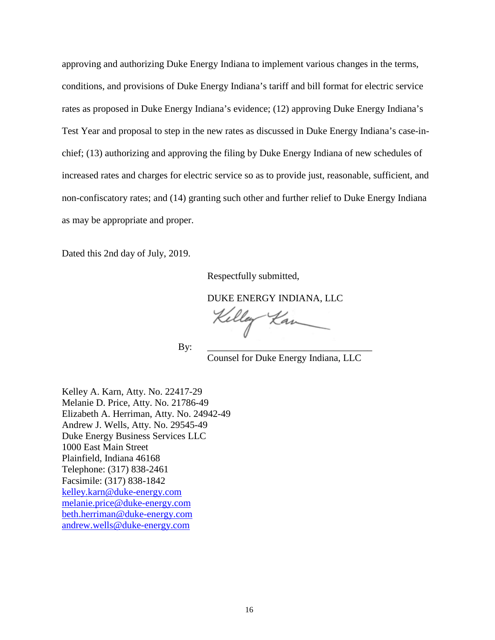approving and authorizing Duke Energy Indiana to implement various changes in the terms, conditions, and provisions of Duke Energy Indiana's tariff and bill format for electric service rates as proposed in Duke Energy Indiana's evidence; (12) approving Duke Energy Indiana's Test Year and proposal to step in the new rates as discussed in Duke Energy Indiana's case-inchief; (13) authorizing and approving the filing by Duke Energy Indiana of new schedules of increased rates and charges for electric service so as to provide just, reasonable, sufficient, and non-confiscatory rates; and (14) granting such other and further relief to Duke Energy Indiana as may be appropriate and proper.

Dated this 2nd day of July, 2019.

Respectfully submitted,

DUKE ENERGY INDIANA, LLC

Kelley Kan

By: \_\_\_\_\_\_\_\_\_\_\_\_\_\_\_\_\_\_\_\_\_\_\_\_\_\_\_\_\_\_\_\_\_\_

Counsel for Duke Energy Indiana, LLC

Kelley A. Karn, Atty. No. 22417-29 Melanie D. Price, Atty. No. 21786-49 Elizabeth A. Herriman, Atty. No. 24942-49 Andrew J. Wells, Atty. No. 29545-49 Duke Energy Business Services LLC 1000 East Main Street Plainfield, Indiana 46168 Telephone: (317) 838-2461 Facsimile: (317) 838-1842 [kelley.karn@duke-energy.com](mailto:kelley.karn@duke-energy.com) [melanie.price@duke-energy.com](mailto:melanie.price@duke-energy.com) beth.herriman@duke-energy.com [andrew.wells@duke-energy.com](mailto:andrew.wells@duke-energy.com)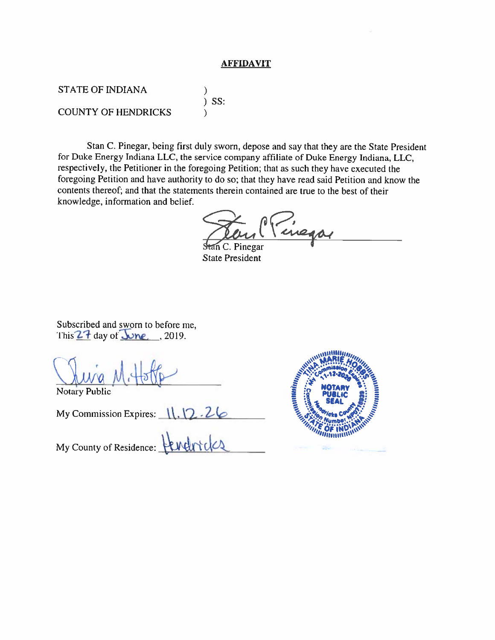### **AFFIDAVIT**

**STATE OF INDIANA**  $\mathcal{F}$  $)$  SS: **COUNTY OF HENDRICKS** )

Stan C. Pinegar, being first duly sworn, depose and say that they are the State President for Duke Energy Indiana LLC, the service company affiliate of Duke Energy Indiana, LLC, respectively, the Petitioner in the foregoing Petition; that as such they have executed the foregoing Petition and have authority to do so; that they have read said Petition and know the contents thereof; and that the statements therein contained are true to the best of their knowledge, information and belief.

inego

C. Pinegar **State President** 

Subscribed and sworn to before me, This  $27$  day of  $\sqrt{2}$  , 2019.

**Notary Public** 

My Commission Expires: 11.12.26 My County of Residence:

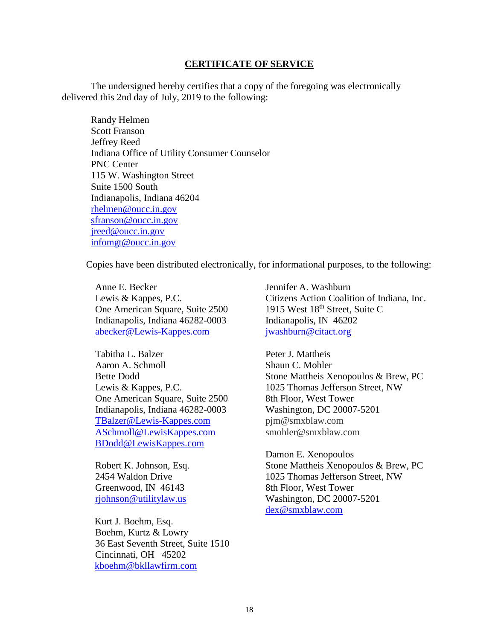### **CERTIFICATE OF SERVICE**

The undersigned hereby certifies that a copy of the foregoing was electronically delivered this 2nd day of July, 2019 to the following:

Randy Helmen Scott Franson Jeffrey Reed Indiana Office of Utility Consumer Counselor PNC Center 115 W. Washington Street Suite 1500 South Indianapolis, Indiana 46204 [rhelmen@oucc.in.gov](mailto:rhelmen@oucc.in.gov) sfranson@oucc.in.gov [jreed@oucc.in.gov](mailto:jreed@oucc.in.gov) [infomgt@oucc.in.gov](mailto:infomgt@oucc.in.gov)

Copies have been distributed electronically, for informational purposes, to the following:

Anne E. Becker Lewis & Kappes, P.C. One American Square, Suite 2500 Indianapolis, Indiana 46282-0003 [abecker@Lewis-Kappes.com](mailto:abecker@Lewis-Kappes.com)

Tabitha L. Balzer Aaron A. Schmoll Bette Dodd Lewis & Kappes, P.C. One American Square, Suite 2500 Indianapolis, Indiana 46282-0003 [TBalzer@Lewis-Kappes.com](mailto:TBalzer@Lewis-Kappes.com) [ASchmoll@LewisKappes.com](mailto:ASchmoll@LewisKappes.com?Subject=Website%20Inquiry) [BDodd@LewisKappes.com](mailto:BDodd@LewisKappes.com)

Robert K. Johnson, Esq. 2454 Waldon Drive Greenwood, IN 46143 [rjohnson@utilitylaw.us](mailto:rjohnson@utilitylaw.us)

Kurt J. Boehm, Esq. Boehm, Kurtz & Lowry 36 East Seventh Street, Suite 1510 Cincinnati, OH 45202 [kboehm@bkllawfirm.com](mailto:kboehm@bkllawfirm.com)

Jennifer A. Washburn Citizens Action Coalition of Indiana, Inc. 1915 West 18<sup>th</sup> Street, Suite C Indianapolis, IN 46202 [jwashburn@citact.org](mailto:jwashburn@citact.org)

Peter J. Mattheis Shaun C. Mohler Stone Mattheis Xenopoulos & Brew, PC 1025 Thomas Jefferson Street, NW 8th Floor, West Tower Washington, DC 20007-5201 [pjm@smxblaw.com](mailto:pjm@smxblaw.com) [smohler@smxblaw.com](mailto:smohler@smxblaw.com)

Damon E. Xenopoulos Stone Mattheis Xenopoulos & Brew, PC 1025 Thomas Jefferson Street, NW 8th Floor, West Tower Washington, DC 20007-5201 [dex@smxblaw.com](mailto:dex@smxblaw.com)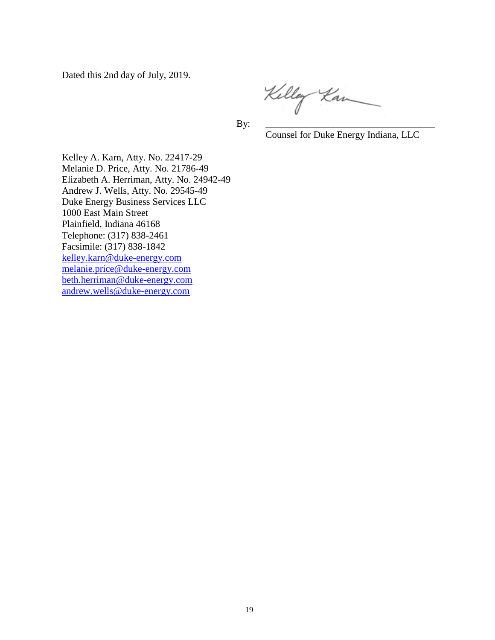Dated this 2nd day of July, 2019.

Kelley Kan

By: \_\_\_\_\_\_\_\_\_\_\_\_\_\_\_\_\_\_\_\_\_\_\_\_\_\_\_\_\_\_\_\_\_\_\_

Counsel for Duke Energy Indiana, LLC

Kelley A. Karn, Atty. No. 22417-29 Melanie D. Price, Atty. No. 21786-49 Elizabeth A. Herriman, Atty. No. 24942-49 Andrew J. Wells, Atty. No. 29545-49 Duke Energy Business Services LLC 1000 East Main Street Plainfield, Indiana 46168 Telephone: (317) 838-2461 Facsimile: (317) 838-1842 [kelley.karn@duke-energy.com](mailto:kelley.karn@duke-energy.com) [melanie.price@duke-energy.com](mailto:melanie.price@duke-energy.com) beth.herriman@duke-energy.com [andrew.wells@duke-energy.com](mailto:andrew.wells@duke-energy.com)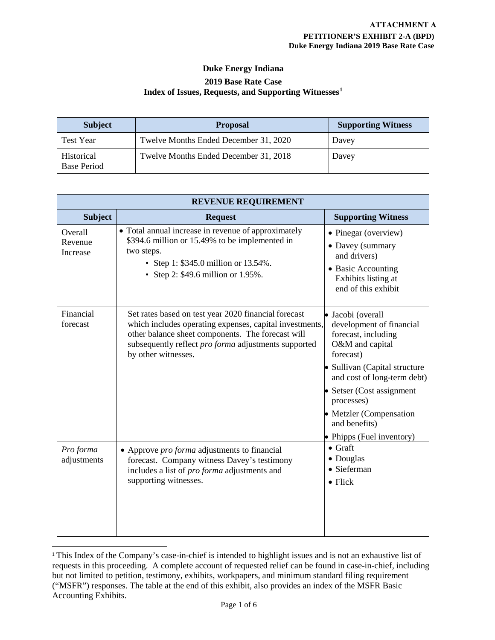## **Duke Energy Indiana 2019 Base Rate Case Index of Issues, Requests, and Supporting Witnesses[1](#page-19-0)**

| <b>Subject</b>                   | <b>Proposal</b>                       | <b>Supporting Witness</b> |
|----------------------------------|---------------------------------------|---------------------------|
| <b>Test Year</b>                 | Twelve Months Ended December 31, 2020 | Davey                     |
| Historical<br><b>Base Period</b> | Twelve Months Ended December 31, 2018 | Davey                     |

| <b>REVENUE REQUIREMENT</b>     |                                                                                                                                                                                                                                                            |                                                                                                                                                                                                                                                                                          |  |
|--------------------------------|------------------------------------------------------------------------------------------------------------------------------------------------------------------------------------------------------------------------------------------------------------|------------------------------------------------------------------------------------------------------------------------------------------------------------------------------------------------------------------------------------------------------------------------------------------|--|
| <b>Subject</b>                 | <b>Request</b>                                                                                                                                                                                                                                             | <b>Supporting Witness</b>                                                                                                                                                                                                                                                                |  |
| Overall<br>Revenue<br>Increase | • Total annual increase in revenue of approximately<br>\$394.6 million or 15.49% to be implemented in<br>two steps.<br>• Step 1: \$345.0 million or 13.54%.<br>• Step 2: \$49.6 million or 1.95%.                                                          | • Pinegar (overview)<br>• Davey (summary<br>and drivers)<br>• Basic Accounting<br>Exhibits listing at<br>end of this exhibit                                                                                                                                                             |  |
| Financial<br>forecast          | Set rates based on test year 2020 financial forecast<br>which includes operating expenses, capital investments,<br>other balance sheet components. The forecast will<br>subsequently reflect <i>pro forma</i> adjustments supported<br>by other witnesses. | · Jacobi (overall<br>development of financial<br>forecast, including<br>O&M and capital<br>forecast)<br>· Sullivan (Capital structure<br>and cost of long-term debt)<br>• Setser (Cost assignment<br>processes)<br>• Metzler (Compensation<br>and benefits)<br>• Phipps (Fuel inventory) |  |
| Pro forma<br>adjustments       | • Approve <i>pro forma</i> adjustments to financial<br>forecast. Company witness Davey's testimony<br>includes a list of <i>pro forma</i> adjustments and<br>supporting witnesses.                                                                         | $\bullet$ Graft<br>• Douglas<br>· Sieferman<br>$\bullet$ Flick                                                                                                                                                                                                                           |  |

<span id="page-19-0"></span><sup>1</sup> This Index of the Company's case-in-chief is intended to highlight issues and is not an exhaustive list of requests in this proceeding. A complete account of requested relief can be found in case-in-chief, including but not limited to petition, testimony, exhibits, workpapers, and minimum standard filing requirement ("MSFR") responses. The table at the end of this exhibit, also provides an index of the MSFR Basic Accounting Exhibits.

 $\overline{a}$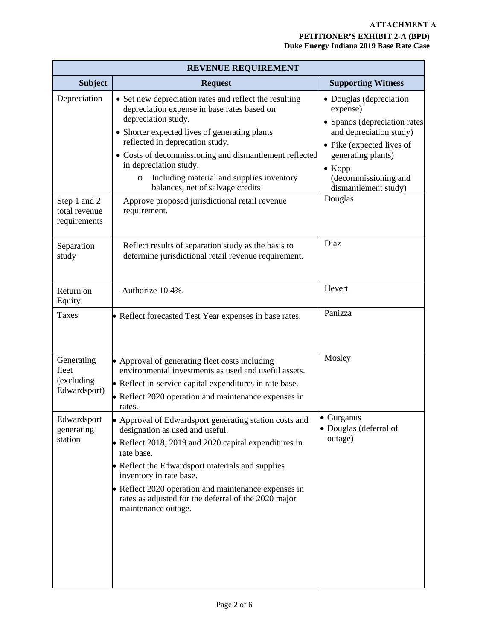## **ATTACHMENT A**

## **PETITIONER'S EXHIBIT 2-A (BPD) Duke Energy Indiana 2019 Base Rate Case**

| <b>REVENUE REQUIREMENT</b>                        |                                                                                                                                                                                                                                                                                                                                                                                                  |                                                                                                                                                                                                                     |  |
|---------------------------------------------------|--------------------------------------------------------------------------------------------------------------------------------------------------------------------------------------------------------------------------------------------------------------------------------------------------------------------------------------------------------------------------------------------------|---------------------------------------------------------------------------------------------------------------------------------------------------------------------------------------------------------------------|--|
| <b>Subject</b>                                    | <b>Request</b>                                                                                                                                                                                                                                                                                                                                                                                   | <b>Supporting Witness</b>                                                                                                                                                                                           |  |
| Depreciation                                      | • Set new depreciation rates and reflect the resulting<br>depreciation expense in base rates based on<br>depreciation study.<br>• Shorter expected lives of generating plants<br>reflected in deprecation study.<br>• Costs of decommissioning and dismantlement reflected<br>in depreciation study.<br>Including material and supplies inventory<br>$\circ$<br>balances, net of salvage credits | • Douglas (depreciation<br>expense)<br>• Spanos (depreciation rates<br>and depreciation study)<br>• Pike (expected lives of<br>generating plants)<br>$\bullet$ Kopp<br>(decommissioning and<br>dismantlement study) |  |
| Step 1 and 2<br>total revenue<br>requirements     | Approve proposed jurisdictional retail revenue<br>requirement.                                                                                                                                                                                                                                                                                                                                   | Douglas                                                                                                                                                                                                             |  |
| Separation<br>study                               | Reflect results of separation study as the basis to<br>determine jurisdictional retail revenue requirement.                                                                                                                                                                                                                                                                                      | Diaz                                                                                                                                                                                                                |  |
| Return on<br>Equity                               | Authorize 10.4%.                                                                                                                                                                                                                                                                                                                                                                                 | Hevert                                                                                                                                                                                                              |  |
| Taxes                                             | • Reflect forecasted Test Year expenses in base rates.                                                                                                                                                                                                                                                                                                                                           | Panizza                                                                                                                                                                                                             |  |
| Generating<br>fleet<br>(excluding<br>Edwardsport) | • Approval of generating fleet costs including<br>environmental investments as used and useful assets.<br>• Reflect in-service capital expenditures in rate base.<br>• Reflect 2020 operation and maintenance expenses in<br>rates.                                                                                                                                                              | Mosley                                                                                                                                                                                                              |  |
| Edwardsport<br>generating<br>station              | Approval of Edwardsport generating station costs and<br>designation as used and useful.<br>• Reflect 2018, 2019 and 2020 capital expenditures in<br>rate base.<br>• Reflect the Edwardsport materials and supplies<br>inventory in rate base.<br>• Reflect 2020 operation and maintenance expenses in<br>rates as adjusted for the deferral of the 2020 major<br>maintenance outage.             | $\bullet$ Gurganus<br>• Douglas (deferral of<br>outage)                                                                                                                                                             |  |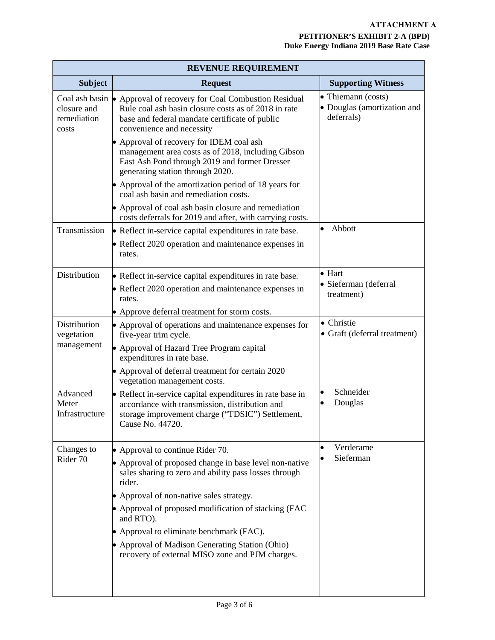| <b>REVENUE REQUIREMENT</b>          |                                                                                                                                                                                                                   |                                                                 |  |
|-------------------------------------|-------------------------------------------------------------------------------------------------------------------------------------------------------------------------------------------------------------------|-----------------------------------------------------------------|--|
| <b>Subject</b>                      | <b>Request</b>                                                                                                                                                                                                    | <b>Supporting Witness</b>                                       |  |
| closure and<br>remediation<br>costs | Coal ash basin $\bullet$ Approval of recovery for Coal Combustion Residual<br>Rule coal ash basin closure costs as of 2018 in rate<br>base and federal mandate certificate of public<br>convenience and necessity | • Thiemann (costs)<br>• Douglas (amortization and<br>deferrals) |  |
|                                     | • Approval of recovery for IDEM coal ash<br>management area costs as of 2018, including Gibson<br>East Ash Pond through 2019 and former Dresser<br>generating station through 2020.                               |                                                                 |  |
|                                     | • Approval of the amortization period of 18 years for<br>coal ash basin and remediation costs.                                                                                                                    |                                                                 |  |
|                                     | • Approval of coal ash basin closure and remediation<br>costs deferrals for 2019 and after, with carrying costs.                                                                                                  |                                                                 |  |
| Transmission                        | • Reflect in-service capital expenditures in rate base.                                                                                                                                                           | Abbott<br>$\bullet$                                             |  |
|                                     | • Reflect 2020 operation and maintenance expenses in<br>rates.                                                                                                                                                    |                                                                 |  |
| Distribution                        | • Reflect in-service capital expenditures in rate base.<br>• Reflect 2020 operation and maintenance expenses in<br>rates.                                                                                         | $\bullet$ Hart<br>· Sieferman (deferral<br>treatment)           |  |
|                                     | • Approve deferral treatment for storm costs.                                                                                                                                                                     |                                                                 |  |
| Distribution<br>vegetation          | • Approval of operations and maintenance expenses for<br>five-year trim cycle.                                                                                                                                    | • Christie<br>• Graft (deferral treatment)                      |  |
| management                          | • Approval of Hazard Tree Program capital<br>expenditures in rate base.                                                                                                                                           |                                                                 |  |
|                                     | • Approval of deferral treatment for certain 2020<br>vegetation management costs.                                                                                                                                 |                                                                 |  |
| Advanced<br>Meter<br>Infrastructure | • Reflect in-service capital expenditures in rate base in<br>accordance with transmission, distribution and<br>storage improvement charge ("TDSIC") Settlement,<br>Cause No. 44720.                               | Schneider<br>$\bullet$<br>Douglas                               |  |
| Changes to                          | • Approval to continue Rider 70.                                                                                                                                                                                  | Verderame                                                       |  |
| Rider 70                            | • Approval of proposed change in base level non-native<br>sales sharing to zero and ability pass losses through<br>rider.                                                                                         | Sieferman                                                       |  |
|                                     | • Approval of non-native sales strategy.                                                                                                                                                                          |                                                                 |  |
|                                     | • Approval of proposed modification of stacking (FAC<br>and RTO).                                                                                                                                                 |                                                                 |  |
|                                     | • Approval to eliminate benchmark (FAC).                                                                                                                                                                          |                                                                 |  |
|                                     | • Approval of Madison Generating Station (Ohio)<br>recovery of external MISO zone and PJM charges.                                                                                                                |                                                                 |  |
|                                     |                                                                                                                                                                                                                   |                                                                 |  |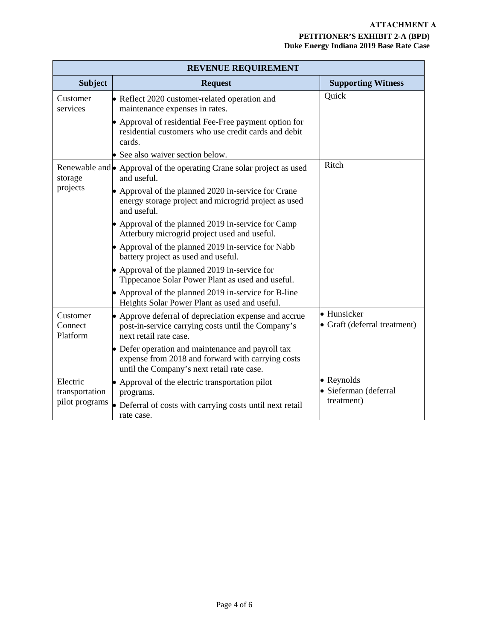| <b>REVENUE REQUIREMENT</b>      |                                                                                                                                                      |                                             |  |
|---------------------------------|------------------------------------------------------------------------------------------------------------------------------------------------------|---------------------------------------------|--|
| <b>Subject</b>                  | <b>Request</b>                                                                                                                                       | <b>Supporting Witness</b>                   |  |
| Customer<br>services            | • Reflect 2020 customer-related operation and<br>maintenance expenses in rates.                                                                      | Quick                                       |  |
|                                 | • Approval of residential Fee-Free payment option for<br>residential customers who use credit cards and debit<br>cards.                              |                                             |  |
|                                 | • See also waiver section below.                                                                                                                     |                                             |  |
| storage                         | Renewable and • Approval of the operating Crane solar project as used<br>and useful.                                                                 | Ritch                                       |  |
| projects                        | • Approval of the planned 2020 in-service for Crane<br>energy storage project and microgrid project as used<br>and useful.                           |                                             |  |
|                                 | • Approval of the planned 2019 in-service for Camp<br>Atterbury microgrid project used and useful.                                                   |                                             |  |
|                                 | • Approval of the planned 2019 in-service for Nabb<br>battery project as used and useful.                                                            |                                             |  |
|                                 | • Approval of the planned 2019 in-service for<br>Tippecanoe Solar Power Plant as used and useful.                                                    |                                             |  |
|                                 | • Approval of the planned 2019 in-service for B-line<br>Heights Solar Power Plant as used and useful.                                                |                                             |  |
| Customer<br>Connect<br>Platform | • Approve deferral of depreciation expense and accrue<br>post-in-service carrying costs until the Company's<br>next retail rate case.                | · Hunsicker<br>• Graft (deferral treatment) |  |
|                                 | • Defer operation and maintenance and payroll tax<br>expense from 2018 and forward with carrying costs<br>until the Company's next retail rate case. |                                             |  |
| Electric<br>transportation      | • Approval of the electric transportation pilot<br>programs.                                                                                         | • Reynolds<br>· Sieferman (deferral         |  |
| pilot programs                  | • Deferral of costs with carrying costs until next retail<br>rate case.                                                                              | treatment)                                  |  |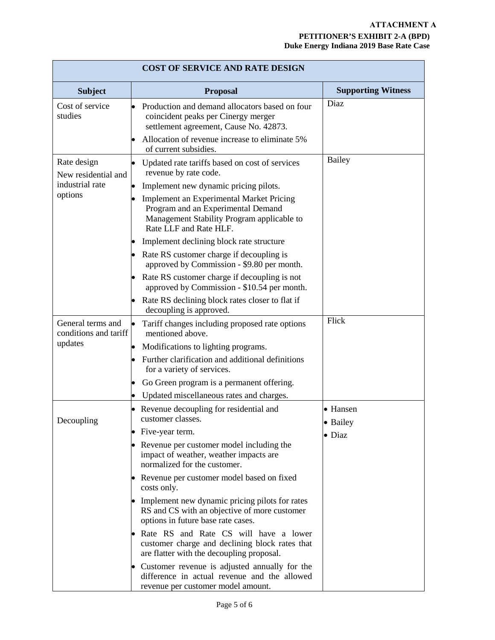| <b>COST OF SERVICE AND RATE DESIGN</b>     |                                                                                                                                                               |                           |  |
|--------------------------------------------|---------------------------------------------------------------------------------------------------------------------------------------------------------------|---------------------------|--|
| <b>Subject</b>                             | <b>Proposal</b>                                                                                                                                               | <b>Supporting Witness</b> |  |
| Cost of service<br>studies                 | Production and demand allocators based on four<br>coincident peaks per Cinergy merger<br>settlement agreement, Cause No. 42873.                               | Diaz                      |  |
|                                            | Allocation of revenue increase to eliminate 5%<br>of current subsidies.                                                                                       |                           |  |
| Rate design<br>New residential and         | Updated rate tariffs based on cost of services<br>revenue by rate code.                                                                                       | <b>Bailey</b>             |  |
| industrial rate                            | Implement new dynamic pricing pilots.                                                                                                                         |                           |  |
| options                                    | <b>Implement an Experimental Market Pricing</b><br>Program and an Experimental Demand<br>Management Stability Program applicable to<br>Rate LLF and Rate HLF. |                           |  |
|                                            | Implement declining block rate structure                                                                                                                      |                           |  |
|                                            | • Rate RS customer charge if decoupling is<br>approved by Commission - \$9.80 per month.                                                                      |                           |  |
|                                            | Rate RS customer charge if decoupling is not<br>approved by Commission - \$10.54 per month.                                                                   |                           |  |
|                                            | Rate RS declining block rates closer to flat if<br>decoupling is approved.                                                                                    |                           |  |
| General terms and<br>conditions and tariff | Tariff changes including proposed rate options<br>mentioned above.                                                                                            | Flick                     |  |
| updates                                    | Modifications to lighting programs.                                                                                                                           |                           |  |
|                                            | Further clarification and additional definitions<br>for a variety of services.                                                                                |                           |  |
|                                            | Go Green program is a permanent offering.                                                                                                                     |                           |  |
|                                            | Updated miscellaneous rates and charges.                                                                                                                      |                           |  |
| Decoupling                                 | Revenue decoupling for residential and<br>customer classes.                                                                                                   | • Hansen<br>· Bailey      |  |
|                                            | Five-year term.                                                                                                                                               | $\bullet$ Diaz            |  |
|                                            | Revenue per customer model including the<br>impact of weather, weather impacts are<br>normalized for the customer.                                            |                           |  |
|                                            | • Revenue per customer model based on fixed<br>costs only.                                                                                                    |                           |  |
|                                            | • Implement new dynamic pricing pilots for rates<br>RS and CS with an objective of more customer<br>options in future base rate cases.                        |                           |  |
|                                            | Rate RS and Rate CS will have a lower<br>customer charge and declining block rates that<br>are flatter with the decoupling proposal.                          |                           |  |
|                                            | Customer revenue is adjusted annually for the<br>difference in actual revenue and the allowed<br>revenue per customer model amount.                           |                           |  |